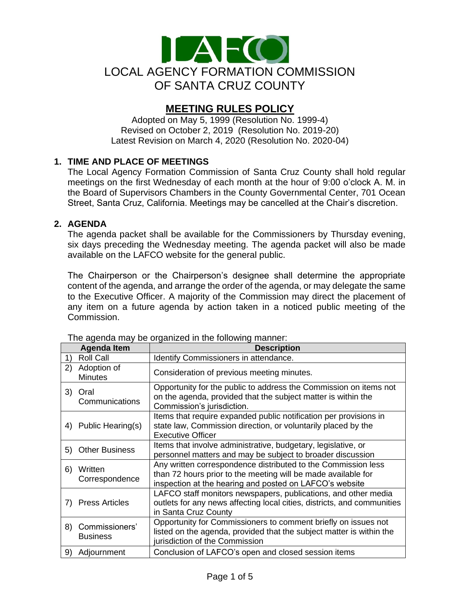

# **MEETING RULES POLICY**

Adopted on May 5, 1999 (Resolution No. 1999-4) Revised on October 2, 2019 (Resolution No. 2019-20) Latest Revision on March 4, 2020 (Resolution No. 2020-04)

# **1. TIME AND PLACE OF MEETINGS**

The Local Agency Formation Commission of Santa Cruz County shall hold regular meetings on the first Wednesday of each month at the hour of 9:00 o'clock A. M. in the Board of Supervisors Chambers in the County Governmental Center, 701 Ocean Street, Santa Cruz, California. Meetings may be cancelled at the Chair's discretion.

## **2. AGENDA**

The agenda packet shall be available for the Commissioners by Thursday evening, six days preceding the Wednesday meeting. The agenda packet will also be made available on the LAFCO website for the general public.

The Chairperson or the Chairperson's designee shall determine the appropriate content of the agenda, and arrange the order of the agenda, or may delegate the same to the Executive Officer. A majority of the Commission may direct the placement of any item on a future agenda by action taken in a noticed public meeting of the Commission.

|    | <b>Agenda Item</b>                | <b>Description</b>                                                                                                                                                                        |
|----|-----------------------------------|-------------------------------------------------------------------------------------------------------------------------------------------------------------------------------------------|
| 1) | <b>Roll Call</b>                  | Identify Commissioners in attendance.                                                                                                                                                     |
| 2) | Adoption of<br><b>Minutes</b>     | Consideration of previous meeting minutes.                                                                                                                                                |
| 3) | Oral<br>Communications            | Opportunity for the public to address the Commission on items not<br>on the agenda, provided that the subject matter is within the<br>Commission's jurisdiction.                          |
| 4) | Public Hearing(s)                 | Items that require expanded public notification per provisions in<br>state law, Commission direction, or voluntarily placed by the<br><b>Executive Officer</b>                            |
| 5) | <b>Other Business</b>             | Items that involve administrative, budgetary, legislative, or<br>personnel matters and may be subject to broader discussion                                                               |
| 6) | Written<br>Correspondence         | Any written correspondence distributed to the Commission less<br>than 72 hours prior to the meeting will be made available for<br>inspection at the hearing and posted on LAFCO's website |
|    | 7) Press Articles                 | LAFCO staff monitors newspapers, publications, and other media<br>outlets for any news affecting local cities, districts, and communities<br>in Santa Cruz County                         |
| 8) | Commissioners'<br><b>Business</b> | Opportunity for Commissioners to comment briefly on issues not<br>listed on the agenda, provided that the subject matter is within the<br>jurisdiction of the Commission                  |
| 9) | Adjournment                       | Conclusion of LAFCO's open and closed session items                                                                                                                                       |

The agenda may be organized in the following manner: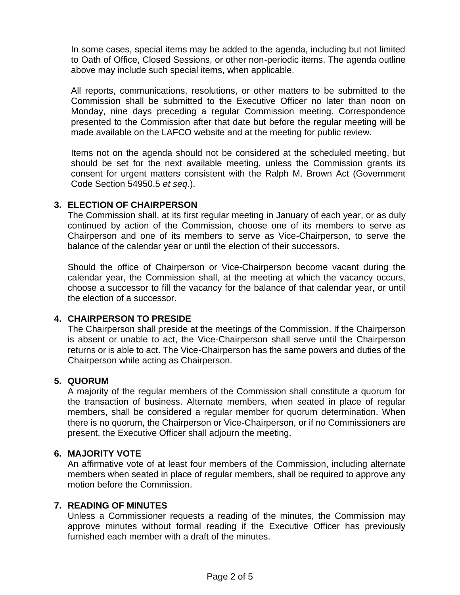In some cases, special items may be added to the agenda, including but not limited to Oath of Office, Closed Sessions, or other non-periodic items. The agenda outline above may include such special items, when applicable.

All reports, communications, resolutions, or other matters to be submitted to the Commission shall be submitted to the Executive Officer no later than noon on Monday, nine days preceding a regular Commission meeting. Correspondence presented to the Commission after that date but before the regular meeting will be made available on the LAFCO website and at the meeting for public review.

Items not on the agenda should not be considered at the scheduled meeting, but should be set for the next available meeting, unless the Commission grants its consent for urgent matters consistent with the Ralph M. Brown Act (Government Code Section 54950.5 *et seq*.).

# **3. ELECTION OF CHAIRPERSON**

The Commission shall, at its first regular meeting in January of each year, or as duly continued by action of the Commission, choose one of its members to serve as Chairperson and one of its members to serve as Vice-Chairperson, to serve the balance of the calendar year or until the election of their successors.

Should the office of Chairperson or Vice-Chairperson become vacant during the calendar year, the Commission shall, at the meeting at which the vacancy occurs, choose a successor to fill the vacancy for the balance of that calendar year, or until the election of a successor.

# **4. CHAIRPERSON TO PRESIDE**

The Chairperson shall preside at the meetings of the Commission. If the Chairperson is absent or unable to act, the Vice-Chairperson shall serve until the Chairperson returns or is able to act. The Vice-Chairperson has the same powers and duties of the Chairperson while acting as Chairperson.

## **5. QUORUM**

A majority of the regular members of the Commission shall constitute a quorum for the transaction of business. Alternate members, when seated in place of regular members, shall be considered a regular member for quorum determination. When there is no quorum, the Chairperson or Vice-Chairperson, or if no Commissioners are present, the Executive Officer shall adjourn the meeting.

## **6. MAJORITY VOTE**

An affirmative vote of at least four members of the Commission, including alternate members when seated in place of regular members, shall be required to approve any motion before the Commission.

# **7. READING OF MINUTES**

Unless a Commissioner requests a reading of the minutes, the Commission may approve minutes without formal reading if the Executive Officer has previously furnished each member with a draft of the minutes.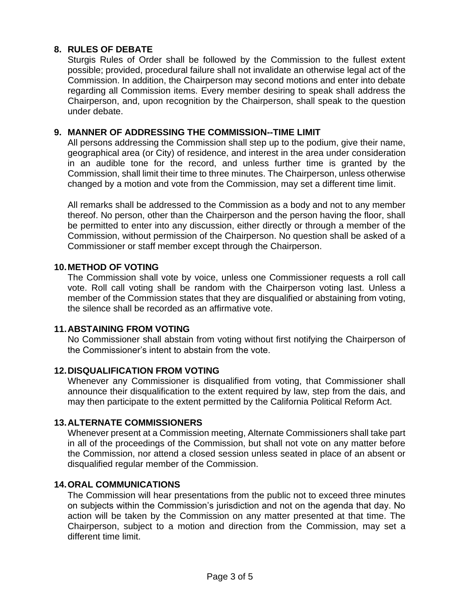# **8. RULES OF DEBATE**

Sturgis Rules of Order shall be followed by the Commission to the fullest extent possible; provided, procedural failure shall not invalidate an otherwise legal act of the Commission. In addition, the Chairperson may second motions and enter into debate regarding all Commission items. Every member desiring to speak shall address the Chairperson, and, upon recognition by the Chairperson, shall speak to the question under debate.

## **9. MANNER OF ADDRESSING THE COMMISSION--TIME LIMIT**

All persons addressing the Commission shall step up to the podium, give their name, geographical area (or City) of residence, and interest in the area under consideration in an audible tone for the record, and unless further time is granted by the Commission, shall limit their time to three minutes. The Chairperson, unless otherwise changed by a motion and vote from the Commission, may set a different time limit.

All remarks shall be addressed to the Commission as a body and not to any member thereof. No person, other than the Chairperson and the person having the floor, shall be permitted to enter into any discussion, either directly or through a member of the Commission, without permission of the Chairperson. No question shall be asked of a Commissioner or staff member except through the Chairperson.

## **10.METHOD OF VOTING**

The Commission shall vote by voice, unless one Commissioner requests a roll call vote. Roll call voting shall be random with the Chairperson voting last. Unless a member of the Commission states that they are disqualified or abstaining from voting, the silence shall be recorded as an affirmative vote.

## **11.ABSTAINING FROM VOTING**

No Commissioner shall abstain from voting without first notifying the Chairperson of the Commissioner's intent to abstain from the vote.

## **12.DISQUALIFICATION FROM VOTING**

Whenever any Commissioner is disqualified from voting, that Commissioner shall announce their disqualification to the extent required by law, step from the dais, and may then participate to the extent permitted by the California Political Reform Act.

## **13.ALTERNATE COMMISSIONERS**

Whenever present at a Commission meeting, Alternate Commissioners shall take part in all of the proceedings of the Commission, but shall not vote on any matter before the Commission, nor attend a closed session unless seated in place of an absent or disqualified regular member of the Commission.

## **14.ORAL COMMUNICATIONS**

The Commission will hear presentations from the public not to exceed three minutes on subjects within the Commission's jurisdiction and not on the agenda that day. No action will be taken by the Commission on any matter presented at that time. The Chairperson, subject to a motion and direction from the Commission, may set a different time limit.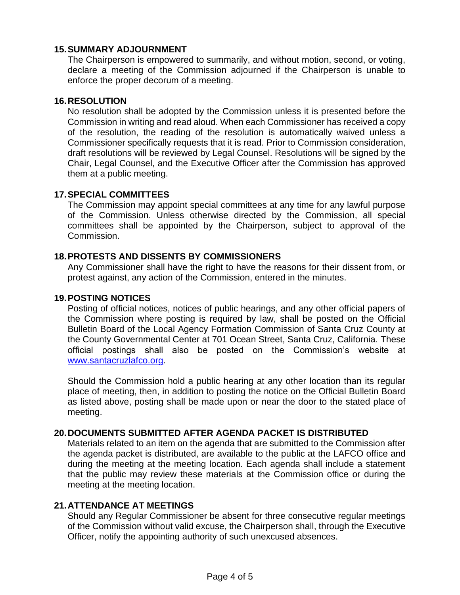## **15.SUMMARY ADJOURNMENT**

The Chairperson is empowered to summarily, and without motion, second, or voting, declare a meeting of the Commission adjourned if the Chairperson is unable to enforce the proper decorum of a meeting.

#### **16.RESOLUTION**

No resolution shall be adopted by the Commission unless it is presented before the Commission in writing and read aloud. When each Commissioner has received a copy of the resolution, the reading of the resolution is automatically waived unless a Commissioner specifically requests that it is read. Prior to Commission consideration, draft resolutions will be reviewed by Legal Counsel. Resolutions will be signed by the Chair, Legal Counsel, and the Executive Officer after the Commission has approved them at a public meeting.

#### **17.SPECIAL COMMITTEES**

The Commission may appoint special committees at any time for any lawful purpose of the Commission. Unless otherwise directed by the Commission, all special committees shall be appointed by the Chairperson, subject to approval of the Commission.

#### **18.PROTESTS AND DISSENTS BY COMMISSIONERS**

Any Commissioner shall have the right to have the reasons for their dissent from, or protest against, any action of the Commission, entered in the minutes.

#### **19.POSTING NOTICES**

Posting of official notices, notices of public hearings, and any other official papers of the Commission where posting is required by law, shall be posted on the Official Bulletin Board of the Local Agency Formation Commission of Santa Cruz County at the County Governmental Center at 701 Ocean Street, Santa Cruz, California. These official postings shall also be posted on the Commission's website at [www.santacruzlafco.org.](http://www.santacruzlafco.org/)

Should the Commission hold a public hearing at any other location than its regular place of meeting, then, in addition to posting the notice on the Official Bulletin Board as listed above, posting shall be made upon or near the door to the stated place of meeting.

#### **20.DOCUMENTS SUBMITTED AFTER AGENDA PACKET IS DISTRIBUTED**

Materials related to an item on the agenda that are submitted to the Commission after the agenda packet is distributed, are available to the public at the LAFCO office and during the meeting at the meeting location. Each agenda shall include a statement that the public may review these materials at the Commission office or during the meeting at the meeting location.

# **21.ATTENDANCE AT MEETINGS**

Should any Regular Commissioner be absent for three consecutive regular meetings of the Commission without valid excuse, the Chairperson shall, through the Executive Officer, notify the appointing authority of such unexcused absences.